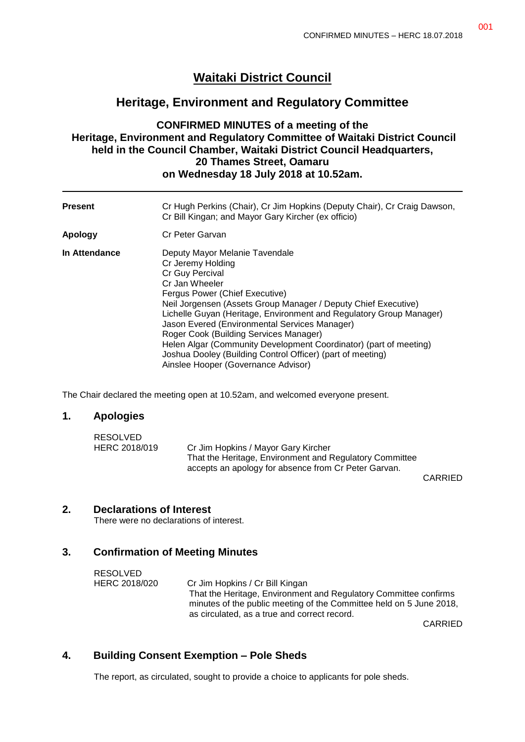# **Waitaki District Council**

# **Heritage, Environment and Regulatory Committee**

### **CONFIRMED MINUTES of a meeting of the Heritage, Environment and Regulatory Committee of Waitaki District Council held in the Council Chamber, Waitaki District Council Headquarters, 20 Thames Street, Oamaru on Wednesday 18 July 2018 at 10.52am.**

| <b>Present</b> | Cr Hugh Perkins (Chair), Cr Jim Hopkins (Deputy Chair), Cr Craig Dawson,<br>Cr Bill Kingan; and Mayor Gary Kircher (ex officio)                                                                                                                                                                                                                                                                                                                                                                                                          |
|----------------|------------------------------------------------------------------------------------------------------------------------------------------------------------------------------------------------------------------------------------------------------------------------------------------------------------------------------------------------------------------------------------------------------------------------------------------------------------------------------------------------------------------------------------------|
| Apology        | Cr Peter Garvan                                                                                                                                                                                                                                                                                                                                                                                                                                                                                                                          |
| In Attendance  | Deputy Mayor Melanie Tavendale<br>Cr Jeremy Holding<br>Cr Guy Percival<br>Cr Jan Wheeler<br>Fergus Power (Chief Executive)<br>Neil Jorgensen (Assets Group Manager / Deputy Chief Executive)<br>Lichelle Guyan (Heritage, Environment and Regulatory Group Manager)<br>Jason Evered (Environmental Services Manager)<br>Roger Cook (Building Services Manager)<br>Helen Algar (Community Development Coordinator) (part of meeting)<br>Joshua Dooley (Building Control Officer) (part of meeting)<br>Ainslee Hooper (Governance Advisor) |

The Chair declared the meeting open at 10.52am, and welcomed everyone present.

#### **1. Apologies**

| RESOLVED      |                                                         |  |
|---------------|---------------------------------------------------------|--|
| HERC 2018/019 | Cr Jim Hopkins / Mayor Gary Kircher                     |  |
|               | That the Heritage, Environment and Regulatory Committee |  |
|               | accepts an apology for absence from Cr Peter Garvan.    |  |

CARRIED

#### **2. Declarations of Interest**

There were no declarations of interest.

#### **3. Confirmation of Meeting Minutes**

RESOLVED HERC 2018/020 Cr Jim Hopkins / Cr Bill Kingan That the Heritage, Environment and Regulatory Committee confirms minutes of the public meeting of the Committee held on 5 June 2018, as circulated, as a true and correct record.

CARRIED

# **4. Building Consent Exemption – Pole Sheds**

The report, as circulated, sought to provide a choice to applicants for pole sheds.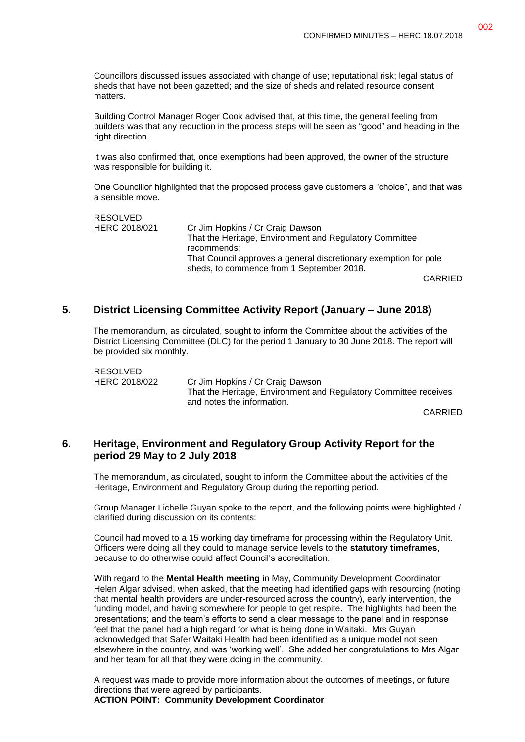Councillors discussed issues associated with change of use; reputational risk; legal status of sheds that have not been gazetted; and the size of sheds and related resource consent matters.

Building Control Manager Roger Cook advised that, at this time, the general feeling from builders was that any reduction in the process steps will be seen as "good" and heading in the right direction.

It was also confirmed that, once exemptions had been approved, the owner of the structure was responsible for building it.

One Councillor highlighted that the proposed process gave customers a "choice", and that was a sensible move.

RESOLVED HERC 2018/021 Cr Jim Hopkins / Cr Craig Dawson That the Heritage, Environment and Regulatory Committee recommends: That Council approves a general discretionary exemption for pole sheds, to commence from 1 September 2018. CARRIED

#### **5. District Licensing Committee Activity Report (January – June 2018)**

The memorandum, as circulated, sought to inform the Committee about the activities of the District Licensing Committee (DLC) for the period 1 January to 30 June 2018. The report will be provided six monthly.

RESOLVED HERC 2018/022 Cr Jim Hopkins / Cr Craig Dawson That the Heritage, Environment and Regulatory Committee receives and notes the information.

CARRIED

#### **6. Heritage, Environment and Regulatory Group Activity Report for the period 29 May to 2 July 2018**

The memorandum, as circulated, sought to inform the Committee about the activities of the Heritage, Environment and Regulatory Group during the reporting period.

Group Manager Lichelle Guyan spoke to the report, and the following points were highlighted / clarified during discussion on its contents:

Council had moved to a 15 working day timeframe for processing within the Regulatory Unit. Officers were doing all they could to manage service levels to the **statutory timeframes**, because to do otherwise could affect Council's accreditation.

With regard to the **Mental Health meeting** in May, Community Development Coordinator Helen Algar advised, when asked, that the meeting had identified gaps with resourcing (noting that mental health providers are under-resourced across the country), early intervention, the funding model, and having somewhere for people to get respite. The highlights had been the presentations; and the team's efforts to send a clear message to the panel and in response feel that the panel had a high regard for what is being done in Waitaki. Mrs Guyan acknowledged that Safer Waitaki Health had been identified as a unique model not seen elsewhere in the country, and was 'working well'. She added her congratulations to Mrs Algar and her team for all that they were doing in the community.

A request was made to provide more information about the outcomes of meetings, or future directions that were agreed by participants.

#### **ACTION POINT: Community Development Coordinator**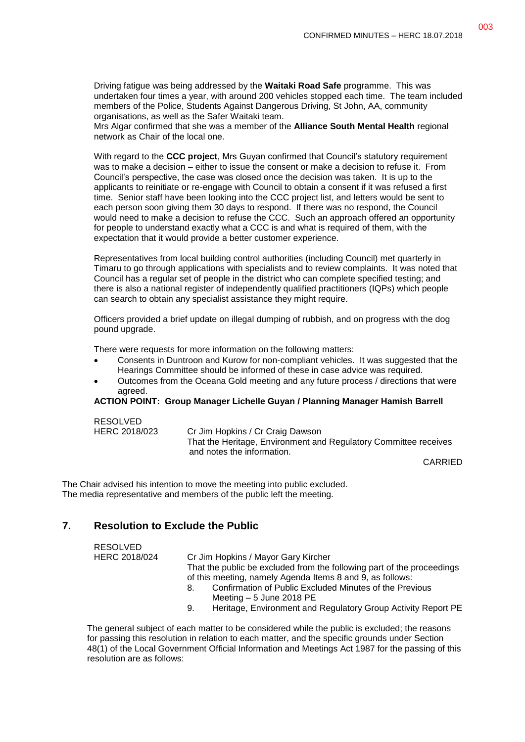Driving fatigue was being addressed by the **Waitaki Road Safe** programme. This was undertaken four times a year, with around 200 vehicles stopped each time. The team included members of the Police, Students Against Dangerous Driving, St John, AA, community organisations, as well as the Safer Waitaki team.

Mrs Algar confirmed that she was a member of the **Alliance South Mental Health** regional network as Chair of the local one.

With regard to the **CCC project**, Mrs Guyan confirmed that Council's statutory requirement was to make a decision – either to issue the consent or make a decision to refuse it. From Council's perspective, the case was closed once the decision was taken. It is up to the applicants to reinitiate or re-engage with Council to obtain a consent if it was refused a first time. Senior staff have been looking into the CCC project list, and letters would be sent to each person soon giving them 30 days to respond. If there was no respond, the Council would need to make a decision to refuse the CCC. Such an approach offered an opportunity for people to understand exactly what a CCC is and what is required of them, with the expectation that it would provide a better customer experience.

Representatives from local building control authorities (including Council) met quarterly in Timaru to go through applications with specialists and to review complaints. It was noted that Council has a regular set of people in the district who can complete specified testing; and there is also a national register of independently qualified practitioners (IQPs) which people can search to obtain any specialist assistance they might require.

Officers provided a brief update on illegal dumping of rubbish, and on progress with the dog pound upgrade.

There were requests for more information on the following matters:

- Consents in Duntroon and Kurow for non-compliant vehicles. It was suggested that the Hearings Committee should be informed of these in case advice was required.
- Outcomes from the Oceana Gold meeting and any future process / directions that were agreed.

**ACTION POINT: Group Manager Lichelle Guyan / Planning Manager Hamish Barrell**

| <b>RESOLVED</b> |                                                                                                      |
|-----------------|------------------------------------------------------------------------------------------------------|
| HERC 2018/023   | Cr Jim Hopkins / Cr Craig Dawson<br>That the Heritage, Environment and Regulatory Committee receives |
|                 | and notes the information.                                                                           |

CARRIED

The Chair advised his intention to move the meeting into public excluded. The media representative and members of the public left the meeting.

# **7. Resolution to Exclude the Public**

| <b>RESOLVED</b> |                                                                        |
|-----------------|------------------------------------------------------------------------|
| HERC 2018/024   | Cr Jim Hopkins / Mayor Gary Kircher                                    |
|                 | That the public be excluded from the following part of the proceedings |
|                 | of this meeting, namely Agenda Items 8 and 9, as follows:              |
|                 | Confirmation of Public Excluded Minutes of the Previous                |
|                 | Meeting $-5$ June 2018 PE                                              |
|                 | Heritage, Environment and Regulatory Group Activity Report PE<br>9.    |

The general subject of each matter to be considered while the public is excluded; the reasons for passing this resolution in relation to each matter, and the specific grounds under Section 48(1) of the Local Government Official Information and Meetings Act 1987 for the passing of this resolution are as follows: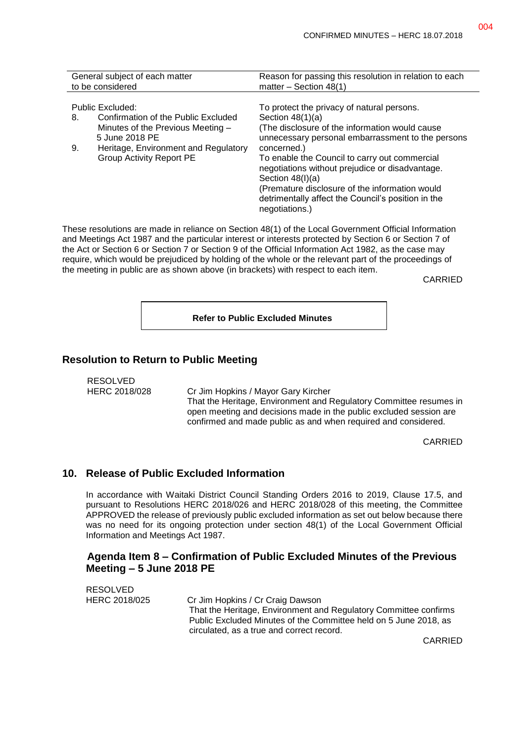| General subject of each matter<br>to be considered            | Reason for passing this resolution in relation to each<br>matter $-$ Section 48(1)                                     |
|---------------------------------------------------------------|------------------------------------------------------------------------------------------------------------------------|
|                                                               |                                                                                                                        |
| Public Excluded:<br>Confirmation of the Public Excluded<br>8. | To protect the privacy of natural persons.<br>Section $48(1)(a)$                                                       |
| Minutes of the Previous Meeting -<br>5 June 2018 PE           | (The disclosure of the information would cause<br>unnecessary personal embarrassment to the persons                    |
| Heritage, Environment and Regulatory<br>9.                    | concerned.)                                                                                                            |
| <b>Group Activity Report PE</b>                               | To enable the Council to carry out commercial<br>negotiations without prejudice or disadvantage.<br>Section $48(l)(a)$ |
|                                                               | (Premature disclosure of the information would<br>detrimentally affect the Council's position in the<br>negotiations.) |

These resolutions are made in reliance on Section 48(1) of the Local Government Official Information and Meetings Act 1987 and the particular interest or interests protected by Section 6 or Section 7 of the Act or Section 6 or Section 7 or Section 9 of the Official Information Act 1982, as the case may require, which would be prejudiced by holding of the whole or the relevant part of the proceedings of the meeting in public are as shown above (in brackets) with respect to each item.

CARRIED

**Refer to Public Excluded Minutes**

#### **Resolution to Return to Public Meeting**

RESOLVED

HERC 2018/028 Cr Jim Hopkins / Mayor Gary Kircher That the Heritage, Environment and Regulatory Committee resumes in open meeting and decisions made in the public excluded session are confirmed and made public as and when required and considered.

CARRIED

#### **10. Release of Public Excluded Information**

In accordance with Waitaki District Council Standing Orders 2016 to 2019, Clause 17.5, and pursuant to Resolutions HERC 2018/026 and HERC 2018/028 of this meeting, the Committee APPROVED the release of previously public excluded information as set out below because there was no need for its ongoing protection under section 48(1) of the Local Government Official Information and Meetings Act 1987.

#### **Agenda Item 8 – Confirmation of Public Excluded Minutes of the Previous Meeting – 5 June 2018 PE**

|               | circulated, as a true and correct record.                        |
|---------------|------------------------------------------------------------------|
|               | Public Excluded Minutes of the Committee held on 5 June 2018, as |
|               | That the Heritage, Environment and Regulatory Committee confirms |
| HERC 2018/025 | Cr Jim Hopkins / Cr Craig Dawson                                 |
|               |                                                                  |
| RESOLVED      |                                                                  |

CARRIED